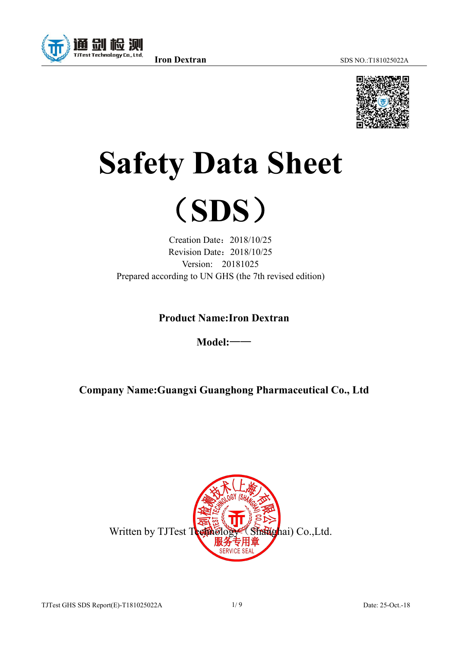

# **Safety Data Sheet**



Creation Date: 2018/10/25 Revision Date: 2018/10/25 Version: 20181025 Prepared according to UN GHS (the 7th revised edition)

**Product Name:Iron Dextran**

**Model:**——

**Company Name:Guangxi Guanghong Pharmaceutical Co., Ltd**

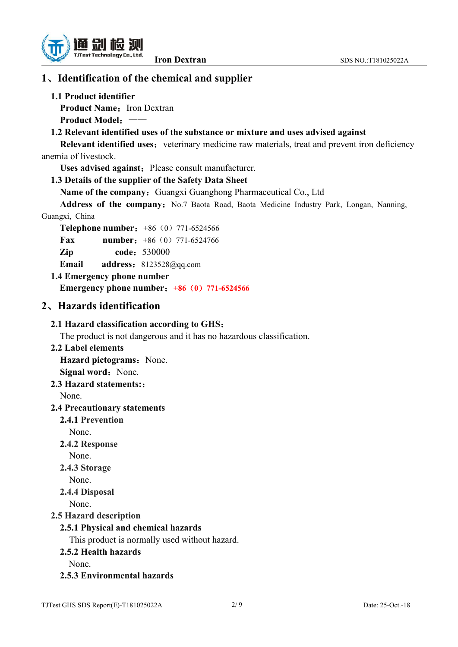



## **1**、**Identification of the chemical and supplier**

## **1.1 Product identifier**

**Product Name:** Iron Dextran

**Product Model**:——

## **1.2 Relevant identified uses ofthe substance or mixture and uses advised against**

**Relevant identified uses:** veterinary medicine raw materials, treat and prevent iron deficiency anemia of livestock.

**Uses advised against:** Please consult manufacturer.

## **1.3 Details ofthe supplier of the Safety Data Sheet**

**Name of the company:** Guangxi Guanghong Pharmaceutical Co., Ltd

Address of the company: No.7 Baota Road, Baota Medicine Industry Park, Longan, Nanning, Guangxi, China

**Telephone number:** +86 (0) 771-6524566

**Fax number:** +86 (0) 771-6524766

**Zip code**:530000

**Email address**:8123528@qq.com

**1.4 Emergency phone number**

**Emergency phone number**:**+86**(**0**)**771-6524566**

## **2**、**Hazards identification**

## **2.1 Hazard classification according to GHS**:

The product is not dangerous and it has no hazardous classification.

**2.2 Label elements**

**Hazard** pictograms: None. **Signal word:** None.

## **2.3 Hazard statements:**:

None.

## **2.4 Precautionary statements**

## **2.4.1 Prevention**

None.

**2.4.2 Response**

None.

**2.4.3 Storage**

None.

**2.4.4 Disposal**

None.

## **2.5 Hazard description**

## **2.5.1 Physical and chemical hazards**

This product is normally used without hazard.

## **2.5.2 Health hazards**

None.

**2.5.3 Environmental hazards**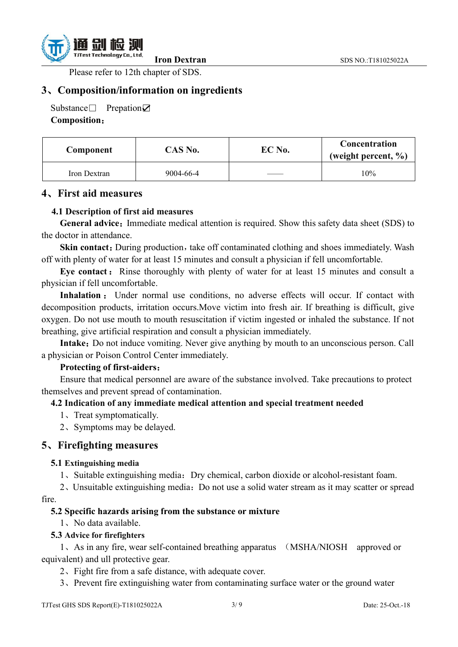

Please refer to 12th chapter of SDS.

## **3**、**Composition/information on ingredients**

Substance□ Prepation☑ **Composition**:

| Component    | $CAS$ No. | EC No. | Concentration<br>(weight percent, $\%$ ) |
|--------------|-----------|--------|------------------------------------------|
| Iron Dextran | 9004-66-4 |        | 10%                                      |

#### **4**、**First aid measures**

#### **4.1 Description of first aid measures**

**General advice:** Immediate medical attention is required. Show this safety data sheet (SDS) to the doctor in attendance.

**Skin contact:** During production, take off contaminated clothing and shoes immediately. Wash off with plenty of water for at least 15 minutes and consult a physician if fell uncomfortable.

**Eye contact:** Rinse thoroughly with plenty of water for at least 15 minutes and consult a physician if fell uncomfortable.

**Inhalation** : Under normal use conditions, no adverse effects will occur. If contact with decomposition products, irritation occurs.Move victim into fresh air. If breathing is difficult, give oxygen. Do not use mouth to mouth resuscitation if victim ingested or inhaled the substance. If not breathing, give artificial respiration and consult a physician immediately.

**Intake:** Do not induce vomiting. Never give anything by mouth to an unconscious person. Call a physician or Poison Control Center immediately.

#### **Protecting of first-aiders**:

Ensure that medical personnel are aware of the substance involved. Take precautions to protect themselves and prevent spread of contamination.

#### **4.2 Indication of any immediate medical attention and special treatment needed**

- 1、Treat symptomatically.
- 2、Symptoms may be delayed.

#### **5**、**Firefighting measures**

#### **5.1 Extinguishing media**

1、Suitable extinguishing media:Dry chemical, carbon dioxide or alcohol-resistant foam.

2、Unsuitable extinguishing media:Do not use a solid water stream as it may scatter or spread fire.

#### **5.2 Specific hazards arising from the substance or mixture**

1、No data available.

#### **5.3 Advice for firefighters**

1、As in any fire, wear self-contained breathing apparatus (MSHA/NIOSH approved or equivalent) and ull protective gear.

2、Fight fire from a safe distance, with adequate cover.

3、Prevent fire extinguishing water from contaminating surface water or the ground water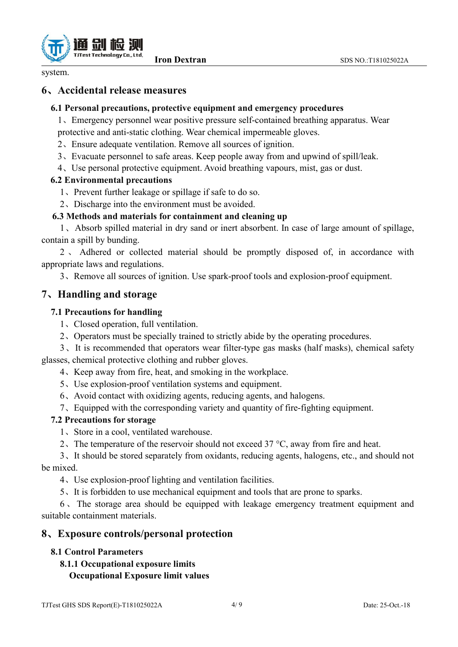

system.

## **6**、**Accidental release measures**

#### **6.1 Personal precautions, protective equipment and emergency procedures**

1、Emergency personnel wear positive pressure self-contained breathing apparatus. Wear protective and anti-static clothing. Wear chemical impermeable gloves.

- 
- 2. Ensure adequate ventilation. Remove all sources of ignition.
- 3、Evacuate personnel to safe areas. Keep people away from and upwind of spill/leak.
- 4、Use personal protective equipment. Avoid breathing vapours, mist, gas ordust.

#### **6.2 Environmental precautions**

- <sup>1</sup>、Prevent further leakage or spillage if safe to do so.2、Discharge into the environment must be avoided.
- 

## **6.3 Methods and materials for containment and cleaning up**

1、Absorb spilled material in dry sand or inert absorbent. In case oflarge amount of spillage, contain a spill by bunding.

2 、 Adhered or collected material should be promptly disposed of, in accordance with appropriate laws and regulations.

3、Remove all sources ofignition. Use spark-proof tools and explosion-proof equipment.

## **7**、**Handling and storage**

#### **7.1 Precautions for handling**

- 1、Closed operation, full ventilation.
- 2、Operators must be specially trained to strictly abide by the operating procedures.

3、It is recommended that operators wear filter-type gas masks (half masks), chemical safety glasses, chemical protective clothing and rubber gloves.

- 4、Keep away from fire, heat, and smoking in the workplace.
- 
- <sup>5</sup>、Use explosion-proof ventilation systems and equipment.6、Avoid contact with oxidizing agents, reducing agents, and halogens.
- 7、Equipped with the corresponding variety and quantity of fire-fighting equipment.

#### **7.2 Precautions for storage**

- 
- 1. Store in a cool, ventilated warehouse.<br>2. The temperature of the reservoir should not exceed 37 °C, away from fire and heat.

3、It should be stored separately from oxidants, reducing agents, halogens, etc., and should not be mixed.

4、Use explosion-proof lighting and ventilation facilities.

5、It is forbidden to use mechanical equipment and tools that are prone to sparks.

 $6<sub>1</sub>$  The storage area should be equipped with leakage emergency treatment equipment and suitable containment materials.

## **8**、**Exposure controls/personal protection**

## **8.1 Control Parameters**

**8.1.1 Occupational exposure limits Occupational Exposure limit values**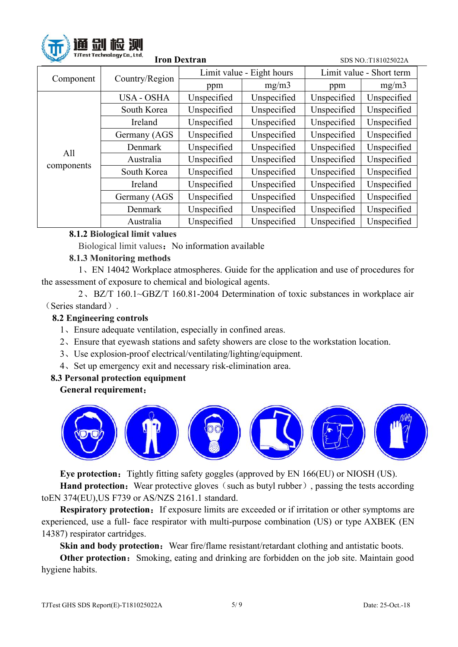

| <b>SALES</b> | <b>THESE LEFTING AS A FAILURE</b><br><b>Iron Dextran</b> |             | SDS NO.:T181025022A       |                          |             |  |
|--------------|----------------------------------------------------------|-------------|---------------------------|--------------------------|-------------|--|
|              | Country/Region                                           |             | Limit value - Eight hours | Limit value - Short term |             |  |
| Component    |                                                          | ppm         | mg/m3                     | ppm                      | mg/m3       |  |
|              | <b>USA - OSHA</b>                                        | Unspecified | Unspecified               | Unspecified              | Unspecified |  |
|              | South Korea                                              | Unspecified | Unspecified               | Unspecified              | Unspecified |  |
|              | Ireland                                                  | Unspecified | Unspecified               | Unspecified              | Unspecified |  |
|              | Germany (AGS)                                            | Unspecified | Unspecified               | Unspecified              | Unspecified |  |
| All          | Denmark                                                  | Unspecified | Unspecified               | Unspecified              | Unspecified |  |
|              | Australia                                                | Unspecified | Unspecified               | Unspecified              | Unspecified |  |
| components   | South Korea                                              | Unspecified | Unspecified               | Unspecified              | Unspecified |  |
|              | Ireland                                                  | Unspecified | Unspecified               | Unspecified              | Unspecified |  |
|              | Germany (AGS)                                            | Unspecified | Unspecified               | Unspecified              | Unspecified |  |
|              | Denmark                                                  | Unspecified | Unspecified               | Unspecified              | Unspecified |  |
|              | Australia                                                | Unspecified | Unspecified               | Unspecified              | Unspecified |  |

## **8.1.2 Biological limit values**

Biological limit values: No information available

## **8.1.3 Monitoring methods**

1、EN 14042 Workplace atmospheres. Guide for the application and use of procedures for the assessment of exposure to chemical and biological agents.

2、BZ/T 160.1~GBZ/T 160.81-2004 Determination of toxic substances in workplace air (Series standard).

## **8.2 Engineering controls**

- 1、Ensure adequate ventilation, especially in confined areas.
- 2、Ensure that eyewash stations and safety showers are close to the workstation location.
- 3、Use explosion-proof electrical/ventilating/lighting/equipment.
- 4、Set up emergency exit and necessary risk-elimination area.

## **8.3 Personal protection equipment**

## **General requirement**:



**Eye protection:** Tightly fitting safety goggles (approved by EN 166(EU) or NIOSH (US).

**Hand protection:** Wear protective gloves (such as butyl rubber), passing the tests according toEN 374(EU),US F739 or AS/NZS 2161.1 standard.

**Respiratory protection:** If exposure limits are exceeded or if irritation or other symptoms are experienced, use a full-face respirator with multi-purpose combination (US) or type AXBEK (EN 14387) respirator cartridges.

**Skin and body protection:** Wear fire/flame resistant/retardant clothing and antistatic boots.

**Other protection:** Smoking, eating and drinking are forbidden on the job site. Maintain good hygiene habits.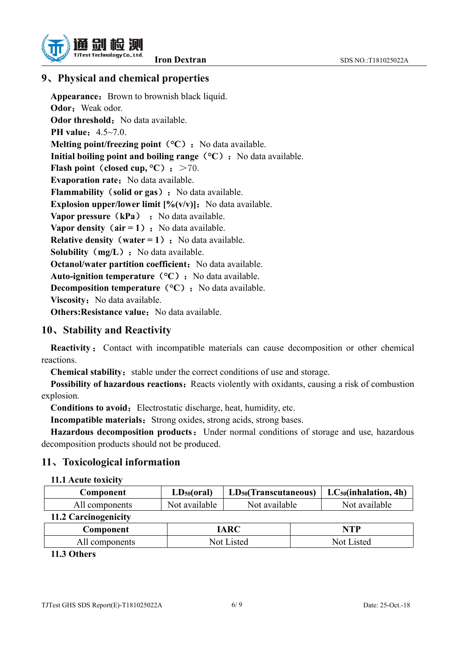

# **9**、**Physical and chemical properties**

Appearance: Brown to brownish black liquid. **Odor:** Weak odor. **Odor threshold:** No data available. **PH value**: 4.5~7.0. **Melting point/freezing point**  $({}^{\circ}C)$ : No data available. **Initial boiling point and boiling range**  $({}^{\circ}C)$ **:** No data available. **Flash** point (closed cup,  ${}^{\circ}$ C): >70. **Evaporation rate:** No data available. **Flammability** (**solid** or **gas**): No data available. **Explosion upper/lower limit**  $[\%(v/v)]$ : No data available. **Vapor pressure** (**kPa**) : No data available. **Vapor density**  $\text{(air = 1)}$ : No data available. **Relative density**(**water = 1**):No data available. **Solubility** (**mg/L**): No data available. **Octanol/water partition coefficient:** No data available. Auto-ignition *temperature* (°C) : No data available. **Decomposition temperature** (°C): No data available. **Viscosity:** No data available. **Others: Resistance value:** No data available.

# **10**、**Stability and Reactivity**

**Reactivity** : Contact with incompatible materials can cause decomposition or other chemical reactions.

**Chemical stability:** stable under the correct conditions of use and storage.

**Possibility of hazardous reactions:** Reacts violently with oxidants, causing a risk of combustion explosion.

**Conditions to avoid:** Electrostatic discharge, heat, humidity, etc.

**Incompatible materials:** Strong oxides, strong acids, strong bases.

**Hazardous decomposition products:** Under normal conditions of storage and use, hazardous decomposition products should not be produced.

# **11**、**Toxicological information**

## **11.1 Acute toxicity**

| Component            | $LD_{50} (oral)$ | $LD_{50}(Transcutaneous)$ |  | $LC_{50}$ (inhalation, 4h) |
|----------------------|------------------|---------------------------|--|----------------------------|
| All components       | Not available    | Not available             |  | Not available              |
| 11.2 Carcinogenicity |                  |                           |  |                            |
| Component            |                  | <b>IARC</b>               |  | NTP                        |
| All components       |                  | Not Listed                |  | Not Listed                 |

## **11.3 Others**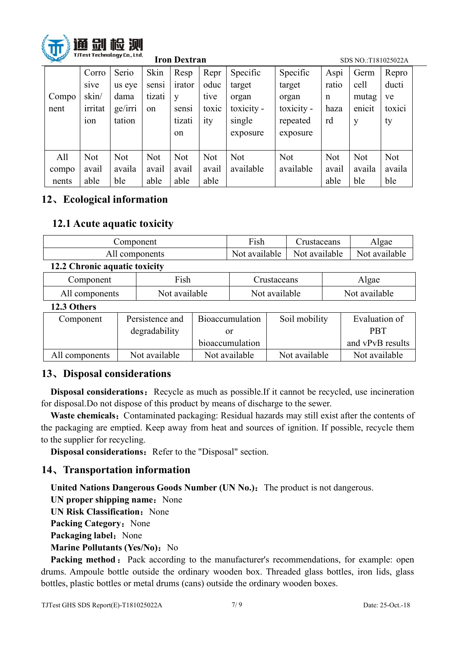

| <b>SALLER</b> |            |            |        | <b>Iron Dextran</b> |            |            |            | SDS NO.:T181025022A |            |            |  |
|---------------|------------|------------|--------|---------------------|------------|------------|------------|---------------------|------------|------------|--|
|               | Corro      | Serio      | Skin   | Resp                | Repr       | Specific   | Specific   | Aspi                | Germ       | Repro      |  |
|               | sive       | us eye     | sensi  | irator              | oduc       | target     | target     | ratio               | cell       | ducti      |  |
| Compo         | skin/      | dama       | tizati | V                   | tive       | organ      | organ      | n                   | mutag      | ve         |  |
| nent          | irritat    | ge/irri    | on     | sensi               | toxic      | toxicity - | toxicity - | haza                | enicit     | toxici     |  |
|               | 10n        | tation     |        | tizati              | ity        | single     | repeated   | rd                  | y          | ty         |  |
|               |            |            |        | <sub>on</sub>       |            | exposure   | exposure   |                     |            |            |  |
|               |            |            |        |                     |            |            |            |                     |            |            |  |
| All           | <b>Not</b> | <b>Not</b> | Not    | <b>Not</b>          | <b>Not</b> | <b>Not</b> | <b>Not</b> | <b>Not</b>          | <b>Not</b> | <b>Not</b> |  |
| compo         | avail      | availa     | avail  | avail               | avail      | available  | available  | avail               | availa     | availa     |  |
| nents         | able       | ble        | able   | able                | able       |            |            | able                | ble        | ble        |  |

# **12**、**Ecological information**

## **12.1 Acute aquatic toxicity**

| Component                     | <b>Fish</b>   | rustaceans    | Algae         |
|-------------------------------|---------------|---------------|---------------|
| All components                | Not available | Not available | Not available |
| 12.2 Chronic aquatic toxicity |               |               |               |

| Component  | −∙<br>F1Sh | rustaceans | 1gae          |
|------------|------------|------------|---------------|
| components | available  | available  | Not available |
| -111       | Not.       | NOt        |               |

#### **12.3 Others**

| Component      | Persistence and | <b>Bioaccumulation</b> | Soil mobility | Evaluation of    |
|----------------|-----------------|------------------------|---------------|------------------|
|                | degradability   | Оľ                     |               | <b>PBT</b>       |
|                |                 | bioaccumulation        |               | and vPvB results |
| All components | Not available   | Not available          | Not available | Not available    |

## **13**、**Disposal considerations**

**Disposal considerations:** Recycle as much as possible.If it cannot be recycled, use incineration for disposal. Do not dispose of this product by means of discharge to the sewer.

**Waste chemicals:** Contaminated packaging: Residual hazards may still exist after the contents of the packaging are emptied. Keep away from heat and sources of ignition. If possible, recycle them to the supplier for recycling.

**Disposal considerations:** Refer to the "Disposal" section.

## **14**、**Transportation information**

**United Nations Dangerous Goods Number (UN No.)**:The product is not dangerous.

**UN** proper shipping name: None

**UN** Risk Classification: None

**Packing Category:** None

**Packaging label:** None

**Marine Pollutants (Yes/No):** No

**Packing method:** Pack according to the manufacturer's recommendations, for example: open drums. Ampoule bottle outside the ordinary wooden box. Threaded glass bottles, iron lids, glass bottles, plastic bottles or metal drums (cans) outside the ordinary wooden boxes.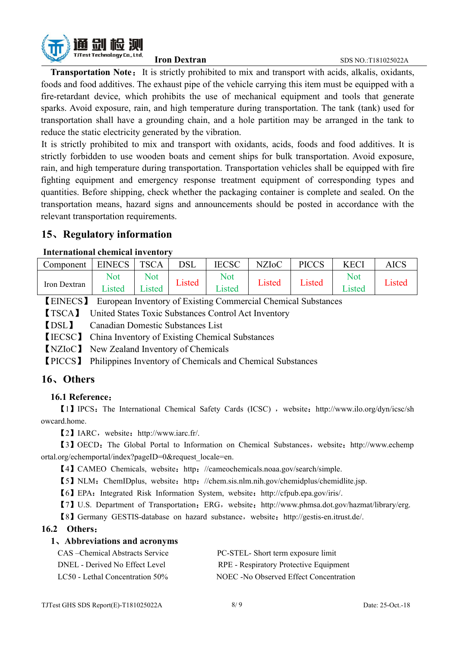

**Transportation Note:** It is strictly prohibited to mix and transport with acids, alkalis, oxidants, foods and food additives. The exhaust pipe of the vehicle carrying this item must be equipped with a fire-retardant device, which prohibits the use of mechanical equipment and tools that generate sparks. Avoid exposure, rain, and high temperature during transportation. The tank (tank) used for transportation shall have a grounding chain, and a hole partition may be arranged in the tank to reduce the static electricity generated by the vibration.

It is strictly prohibited to mix and transport with oxidants, acids, foods and food additives. It is strictly forbidden to use wooden boats and cement ships for bulk transportation. Avoid exposure, rain, and high temperature during transportation. Transportation vehicles shall be equipped with fire fighting equipment and emergency response treatment equipment of corresponding types and quantities. Before shipping, check whether the packaging container is complete and sealed. On the transportation means, hazard signs and announcements should be posted in accordance with the relevant transportation requirements.

## **15**、**Regulatory information**

#### **International chemical inventory**

| Component    | <b>EINECS</b> | <b>TSCA</b> | <b>DSL</b> | <b>IECSC</b> | <b>NZIoC</b> | <b>PICCS</b> | <b>KECI</b> | AICS   |
|--------------|---------------|-------------|------------|--------------|--------------|--------------|-------------|--------|
|              | <b>Not</b>    | <b>Not</b>  |            | Not          |              |              | <b>Not</b>  |        |
| Iron Dextran | - -<br>Listed | Lısted      | Listed     | Listed       | Listed       | $\cup$ isted | Listed      | Listed |

【EINECS】 European Inventory of Existing Commercial Chemical Substances

【TSCA】 United States Toxic Substances Control Act Inventory

【DSL】 Canadian Domestic Substances List

【IECSC】 China Inventory of Existing Chemical Substances

【NZIoC】 New Zealand Inventory of Chemicals

【PICCS】 Philippines Inventory of Chemicals and Chemical Substances

## **16**、**Others**

#### **16.1 Reference**:

[1] IPCS: The International Chemical Safety Cards (ICSC), website: [http://www.ilo.org/dyn/icsc/sh](http://www.ilo.org/dyn/icsc/showcard.home) owcard.home.

【2】IARC,website:[http://www.iarc.fr/.](http://www.iarc.fr/)

【3】OECD:The Global Portal to Information on Chemical Substances,website:[http://www.echemp](http://www.echemportal.org/echemportal/index?pageID=0&request_locale=en) ortal.org/echemportal/index?pageID=0&request\_locale=en.

[4] CAMEO Chemicals, website: http: [//cameochemicals.noaa.gov/search/simple.](http://cameochemicals.noaa.gov/search/simple)

【5】NLM:ChemIDplus, website:http:[//chem.sis.nlm.nih.gov/chemidplus/chemidlite.jsp.](http://chem.sis.nlm.nih.gov/chemidplus/chemidlite.jsp)

【6】EPA:Integrated Risk Information System, website:[http://cfpub.epa.gov/iris/.](http://cfpub.epa.gov/ecotox/)

【7】U.S. Department of Transportation:ERG,website:[http://www.phmsa.dot.gov/hazmat/library/erg.](http://www.phmsa.dot.gov/hazmat/library/erg)

【8】Germany GESTIS-database on hazard substance,website:[http://gestis-en.itrust.de/.](http://gestis-en.itrust.de/)

#### **16.2 Others**:

#### **1**、**Abbreviations and acronyms**

| CAS – Chemical Abstracts Service   | PC-STEL- Short term exposure limit     |
|------------------------------------|----------------------------------------|
| DNEL - Derived No Effect Level     | RPE - Respiratory Protective Equipment |
| LC50 - Lethal Concentration $50\%$ | NOEC -No Observed Effect Concentration |